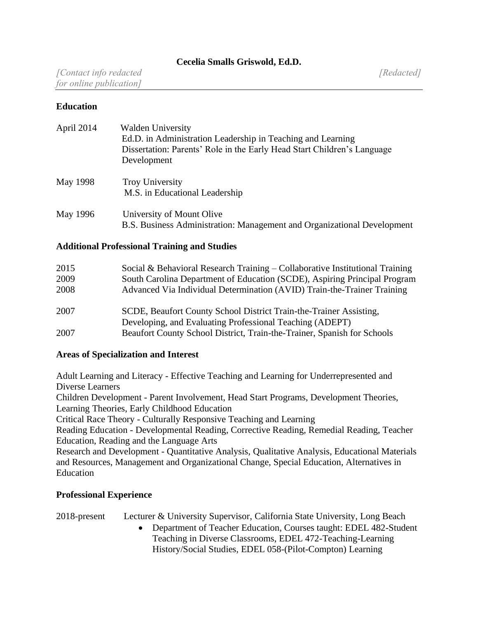## **Education**

| April 2014 | <b>Walden University</b><br>Ed.D. in Administration Leadership in Teaching and Learning<br>Dissertation: Parents' Role in the Early Head Start Children's Language<br>Development |
|------------|-----------------------------------------------------------------------------------------------------------------------------------------------------------------------------------|
| May 1998   | <b>Troy University</b><br>M.S. in Educational Leadership                                                                                                                          |
| May 1996   | University of Mount Olive<br>B.S. Business Administration: Management and Organizational Development                                                                              |

#### **Additional Professional Training and Studies**

| 2015 | Social & Behavioral Research Training $-$ Collaborative Institutional Training |
|------|--------------------------------------------------------------------------------|
| 2009 | South Carolina Department of Education (SCDE), Aspiring Principal Program      |
| 2008 | Advanced Via Individual Determination (AVID) Train-the-Trainer Training        |
| 2007 | SCDE, Beaufort County School District Train-the-Trainer Assisting,             |
|      | Developing, and Evaluating Professional Teaching (ADEPT)                       |
| 2007 | Beaufort County School District, Train-the-Trainer, Spanish for Schools        |

## **Areas of Specialization and Interest**

Adult Learning and Literacy - Effective Teaching and Learning for Underrepresented and Diverse Learners

Children Development - Parent Involvement, Head Start Programs, Development Theories, Learning Theories, Early Childhood Education

Critical Race Theory - Culturally Responsive Teaching and Learning

Reading Education - Developmental Reading, Corrective Reading, Remedial Reading, Teacher Education, Reading and the Language Arts

Research and Development - Quantitative Analysis, Qualitative Analysis, Educational Materials and Resources, Management and Organizational Change, Special Education, Alternatives in Education

## **Professional Experience**

2018-present Lecturer & University Supervisor, California State University, Long Beach

• Department of Teacher Education, Courses taught: EDEL 482-Student Teaching in Diverse Classrooms, EDEL 472-Teaching-Learning History/Social Studies, EDEL 058-(Pilot-Compton) Learning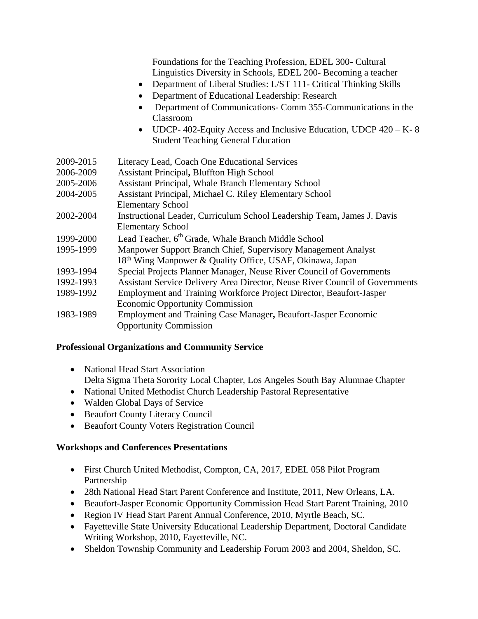|           | Foundations for the Teaching Profession, EDEL 300- Cultural<br>Linguistics Diversity in Schools, EDEL 200- Becoming a teacher<br>Department of Liberal Studies: L/ST 111- Critical Thinking Skills<br>$\bullet$<br>Department of Educational Leadership: Research<br>Department of Communications- Comm 355-Communications in the<br>Classroom<br>UDCP-402-Equity Access and Inclusive Education, UDCP 420 - K-8<br><b>Student Teaching General Education</b> |
|-----------|---------------------------------------------------------------------------------------------------------------------------------------------------------------------------------------------------------------------------------------------------------------------------------------------------------------------------------------------------------------------------------------------------------------------------------------------------------------|
| 2009-2015 | Literacy Lead, Coach One Educational Services                                                                                                                                                                                                                                                                                                                                                                                                                 |
| 2006-2009 | <b>Assistant Principal, Bluffton High School</b>                                                                                                                                                                                                                                                                                                                                                                                                              |
| 2005-2006 | <b>Assistant Principal, Whale Branch Elementary School</b>                                                                                                                                                                                                                                                                                                                                                                                                    |
| 2004-2005 | Assistant Principal, Michael C. Riley Elementary School                                                                                                                                                                                                                                                                                                                                                                                                       |
|           | <b>Elementary School</b>                                                                                                                                                                                                                                                                                                                                                                                                                                      |
| 2002-2004 | Instructional Leader, Curriculum School Leadership Team, James J. Davis<br><b>Elementary School</b>                                                                                                                                                                                                                                                                                                                                                           |
| 1999-2000 | Lead Teacher, 6 <sup>th</sup> Grade, Whale Branch Middle School                                                                                                                                                                                                                                                                                                                                                                                               |
| 1995-1999 | Manpower Support Branch Chief, Supervisory Management Analyst                                                                                                                                                                                                                                                                                                                                                                                                 |
|           | 18th Wing Manpower & Quality Office, USAF, Okinawa, Japan                                                                                                                                                                                                                                                                                                                                                                                                     |
| 1993-1994 | Special Projects Planner Manager, Neuse River Council of Governments                                                                                                                                                                                                                                                                                                                                                                                          |
| 1992-1993 | Assistant Service Delivery Area Director, Neuse River Council of Governments                                                                                                                                                                                                                                                                                                                                                                                  |
| 1989-1992 | Employment and Training Workforce Project Director, Beaufort-Jasper                                                                                                                                                                                                                                                                                                                                                                                           |
|           | <b>Economic Opportunity Commission</b>                                                                                                                                                                                                                                                                                                                                                                                                                        |
| 1983-1989 | Employment and Training Case Manager, Beaufort-Jasper Economic<br><b>Opportunity Commission</b>                                                                                                                                                                                                                                                                                                                                                               |

## **Professional Organizations and Community Service**

- National Head Start Association Delta Sigma Theta Sorority Local Chapter, Los Angeles South Bay Alumnae Chapter
- National United Methodist Church Leadership Pastoral Representative
- Walden Global Days of Service
- Beaufort County Literacy Council
- Beaufort County Voters Registration Council

# **Workshops and Conferences Presentations**

- First Church United Methodist, Compton, CA, 2017, EDEL 058 Pilot Program Partnership
- 28th National Head Start Parent Conference and Institute, 2011, New Orleans, LA.
- Beaufort-Jasper Economic Opportunity Commission Head Start Parent Training, 2010
- Region IV Head Start Parent Annual Conference, 2010, Myrtle Beach, SC.
- Fayetteville State University Educational Leadership Department, Doctoral Candidate Writing Workshop, 2010, Fayetteville, NC.
- Sheldon Township Community and Leadership Forum 2003 and 2004, Sheldon, SC.